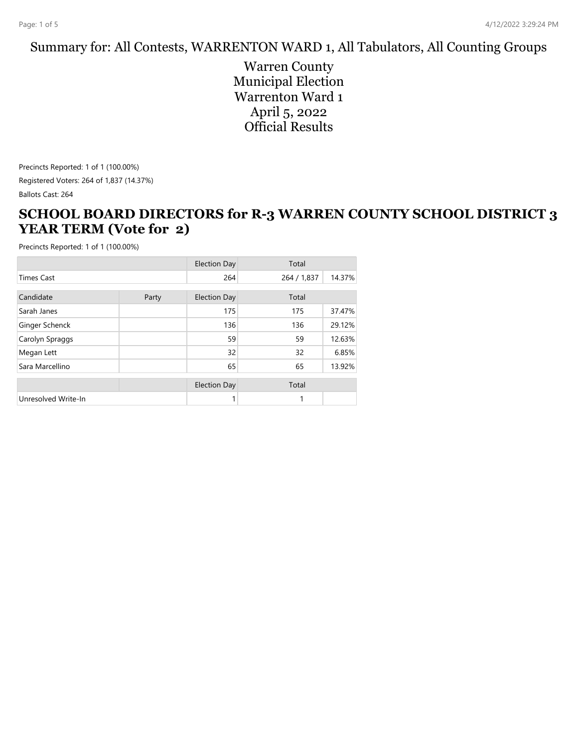#### Summary for: All Contests, WARRENTON WARD 1, All Tabulators, All Counting Groups

Warren County Municipal Election Warrenton Ward 1 April 5, 2022 Official Results

Precincts Reported: 1 of 1 (100.00%) Registered Voters: 264 of 1,837 (14.37%) Ballots Cast: 264

#### **SCHOOL BOARD DIRECTORS for R-3 WARREN COUNTY SCHOOL DISTRICT 3 YEAR TERM (Vote for 2)**

|                     |       | <b>Election Day</b> | Total       |        |
|---------------------|-------|---------------------|-------------|--------|
| <b>Times Cast</b>   |       | 264                 | 264 / 1,837 | 14.37% |
| Candidate           | Party | <b>Election Day</b> | Total       |        |
| Sarah Janes         |       | 175                 | 175         | 37.47% |
| Ginger Schenck      |       | 136                 | 136         | 29.12% |
| Carolyn Spraggs     |       | 59                  | 59          | 12.63% |
| Megan Lett          |       | 32                  | 32          | 6.85%  |
| Sara Marcellino     |       | 65                  | 65          | 13.92% |
|                     |       | <b>Election Day</b> | Total       |        |
| Unresolved Write-In |       |                     |             |        |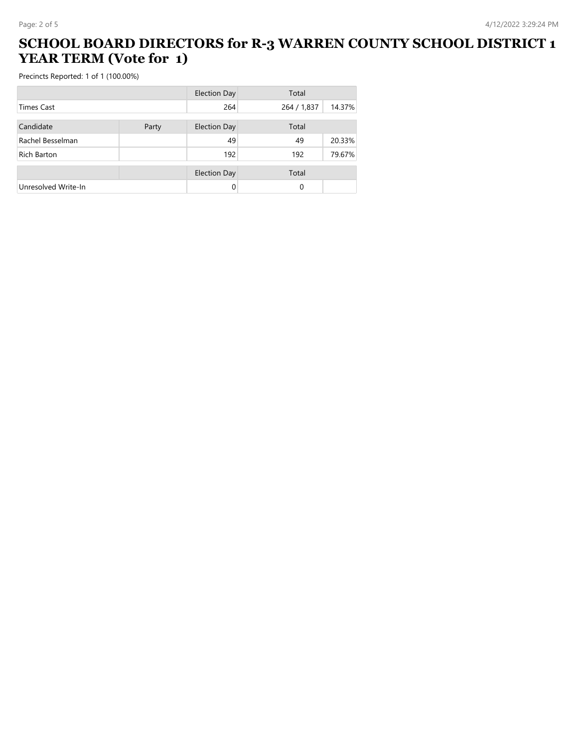#### **SCHOOL BOARD DIRECTORS for R-3 WARREN COUNTY SCHOOL DISTRICT 1 YEAR TERM (Vote for 1)**

|                     |       | <b>Election Day</b> | Total       |        |
|---------------------|-------|---------------------|-------------|--------|
| <b>Times Cast</b>   |       | 264                 | 264 / 1,837 | 14.37% |
| Candidate           | Party | <b>Election Day</b> | Total       |        |
| Rachel Besselman    |       | 49                  | 49          | 20.33% |
| Rich Barton         |       | 192                 | 192         | 79.67% |
|                     |       | <b>Election Day</b> | Total       |        |
| Unresolved Write-In |       | 0                   | 0           |        |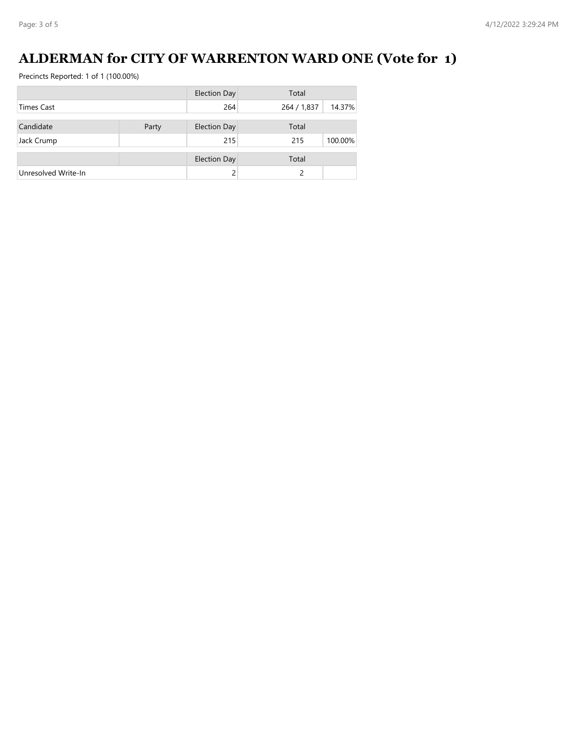# **ALDERMAN for CITY OF WARRENTON WARD ONE (Vote for 1)**

|                     |       | <b>Election Day</b> | Total       |         |
|---------------------|-------|---------------------|-------------|---------|
| <b>Times Cast</b>   |       | 264                 | 264 / 1,837 | 14.37%  |
|                     |       |                     |             |         |
| Candidate           | Party | <b>Election Day</b> | Total       |         |
| Jack Crump          |       | 215                 | 215         | 100.00% |
|                     |       | <b>Election Day</b> | Total       |         |
|                     |       |                     |             |         |
| Unresolved Write-In |       |                     | 2           |         |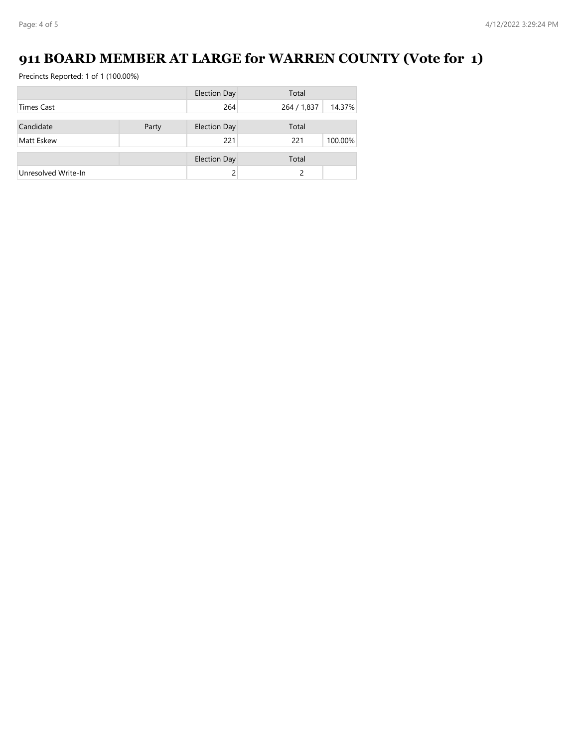# **911 BOARD MEMBER AT LARGE for WARREN COUNTY (Vote for 1)**

|                     |       | <b>Election Day</b> | Total       |         |
|---------------------|-------|---------------------|-------------|---------|
| <b>Times Cast</b>   |       | 264                 | 264 / 1,837 | 14.37%  |
|                     |       |                     |             |         |
| Candidate           | Party | <b>Election Day</b> | Total       |         |
| Matt Eskew          |       | 221                 | 221         | 100.00% |
|                     |       | <b>Election Day</b> | Total       |         |
| Unresolved Write-In |       |                     |             |         |